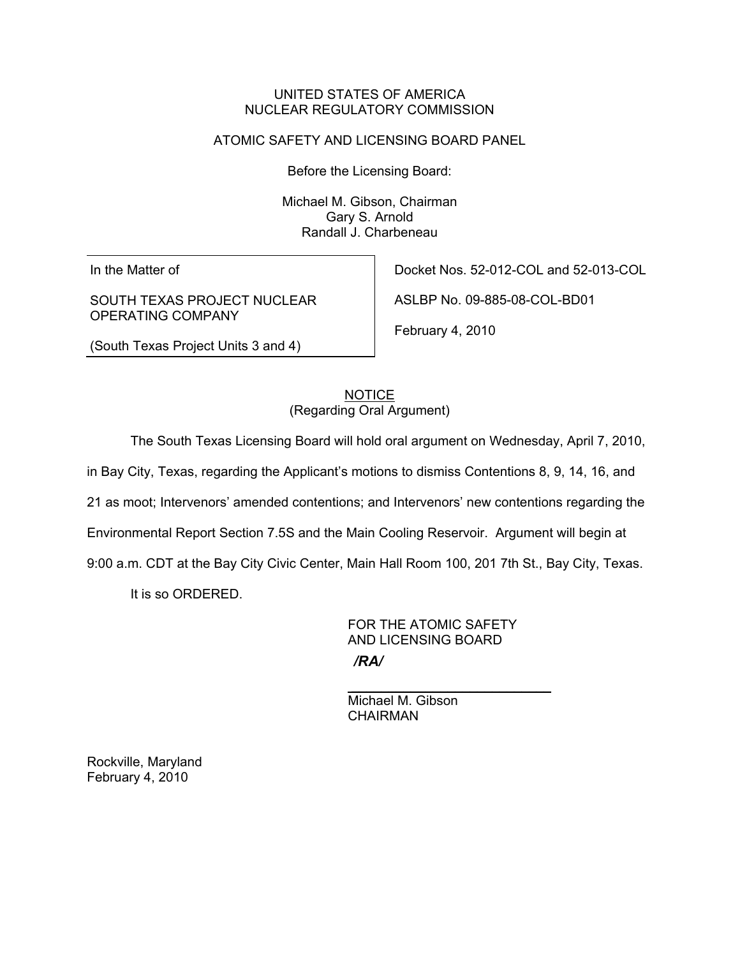## UNITED STATES OF AMERICA NUCLEAR REGULATORY COMMISSION

## ATOMIC SAFETY AND LICENSING BOARD PANEL

Before the Licensing Board:

Michael M. Gibson, Chairman Gary S. Arnold Randall J. Charbeneau

In the Matter of

SOUTH TEXAS PROJECT NUCLEAR OPERATING COMPANY

Docket Nos. 52-012-COL and 52-013-COL

ASLBP No. 09-885-08-COL-BD01

February 4, 2010

(South Texas Project Units 3 and 4)

**NOTICE** (Regarding Oral Argument)

The South Texas Licensing Board will hold oral argument on Wednesday, April 7, 2010,

in Bay City, Texas, regarding the Applicant's motions to dismiss Contentions 8, 9, 14, 16, and

21 as moot; Intervenors' amended contentions; and Intervenors' new contentions regarding the

Environmental Report Section 7.5S and the Main Cooling Reservoir. Argument will begin at

 $\frac{1}{\sqrt{2}}$  , and the set of the set of the set of the set of the set of the set of the set of the set of the set of the set of the set of the set of the set of the set of the set of the set of the set of the set of the

9:00 a.m. CDT at the Bay City Civic Center, Main Hall Room 100, 201 7th St., Bay City, Texas.

It is so ORDERED.

 FOR THE ATOMIC SAFETY AND LICENSING BOARD */RA/*

 Michael M. Gibson CHAIRMAN

Rockville, Maryland February 4, 2010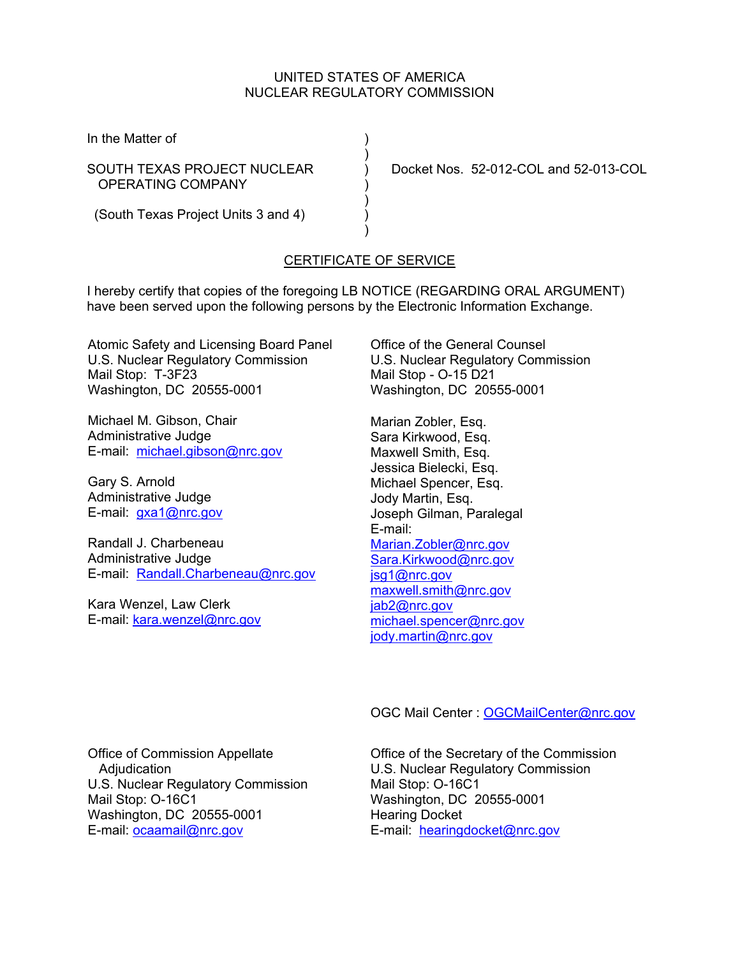## UNITED STATES OF AMERICA NUCLEAR REGULATORY COMMISSION

In the Matter of (1)

OPERATING COMPANY )

 $)$ 

 $)$ 

SOUTH TEXAS PROJECT NUCLEAR ) Docket Nos. 52-012-COL and 52-013-COL

 $)$ (South Texas Project Units 3 and 4) )

## CERTIFICATE OF SERVICE

I hereby certify that copies of the foregoing LB NOTICE (REGARDING ORAL ARGUMENT) have been served upon the following persons by the Electronic Information Exchange.

Atomic Safety and Licensing Board Panel U.S. Nuclear Regulatory Commission Mail Stop: T-3F23 Washington, DC 20555-0001

Michael M. Gibson, Chair Administrative Judge E-mail: michael.gibson@nrc.gov

Gary S. Arnold Administrative Judge E-mail: gxa1@nrc.gov

Randall J. Charbeneau Administrative Judge E-mail: Randall.Charbeneau@nrc.gov

Kara Wenzel, Law Clerk E-mail: kara.wenzel@nrc.gov Office of the General Counsel U.S. Nuclear Regulatory Commission Mail Stop - O-15 D21 Washington, DC 20555-0001

Marian Zobler, Esq. Sara Kirkwood, Esq. Maxwell Smith, Esq. Jessica Bielecki, Esq. Michael Spencer, Esq. Jody Martin, Esq. Joseph Gilman, Paralegal E-mail: Marian.Zobler@nrc.gov Sara.Kirkwood@nrc.gov jsg1@nrc.gov maxwell.smith@nrc.gov jab2@nrc.gov michael.spencer@nrc.gov jody.martin@nrc.gov

OGC Mail Center : OGCMailCenter@nrc.gov

Office of Commission Appellate Adjudication U.S. Nuclear Regulatory Commission Mail Stop: O-16C1 Washington, DC 20555-0001 E-mail: ocaamail@nrc.gov

Office of the Secretary of the Commission U.S. Nuclear Regulatory Commission Mail Stop: O-16C1 Washington, DC 20555-0001 Hearing Docket E-mail: hearingdocket@nrc.gov